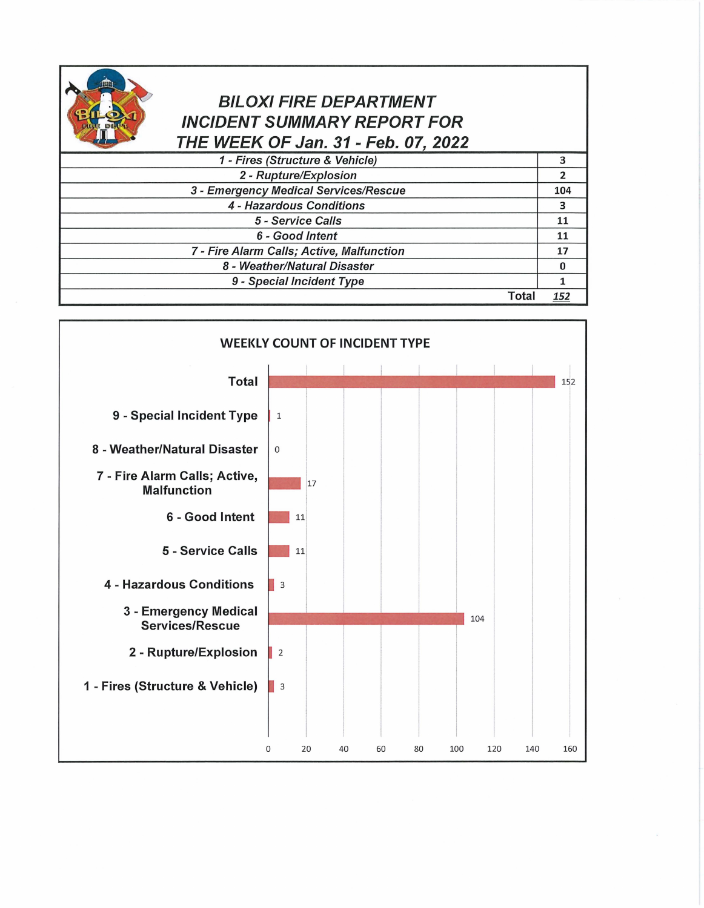| DU |  |
|----|--|
|    |  |

## BILOXI FIRE DEPARTMENT INCIDENT SUMMARY REPORT FOR THE WEEK OF Jan. 31 - Feb. 07, 2022

| 1 - Fires (Structure & Vehicle)           |     |
|-------------------------------------------|-----|
| 2 - Rupture/Explosion                     |     |
| 3 - Emergency Medical Services/Rescue     | 104 |
| 4 - Hazardous Conditions                  | 3   |
| 5 - Service Calls                         | 11  |
| 6 - Good Intent                           | 11  |
| 7 - Fire Alarm Calls; Active, Malfunction | 17  |
| 8 - Weather/Natural Disaster              |     |
| 9 - Special Incident Type                 |     |
| Tota                                      | 152 |

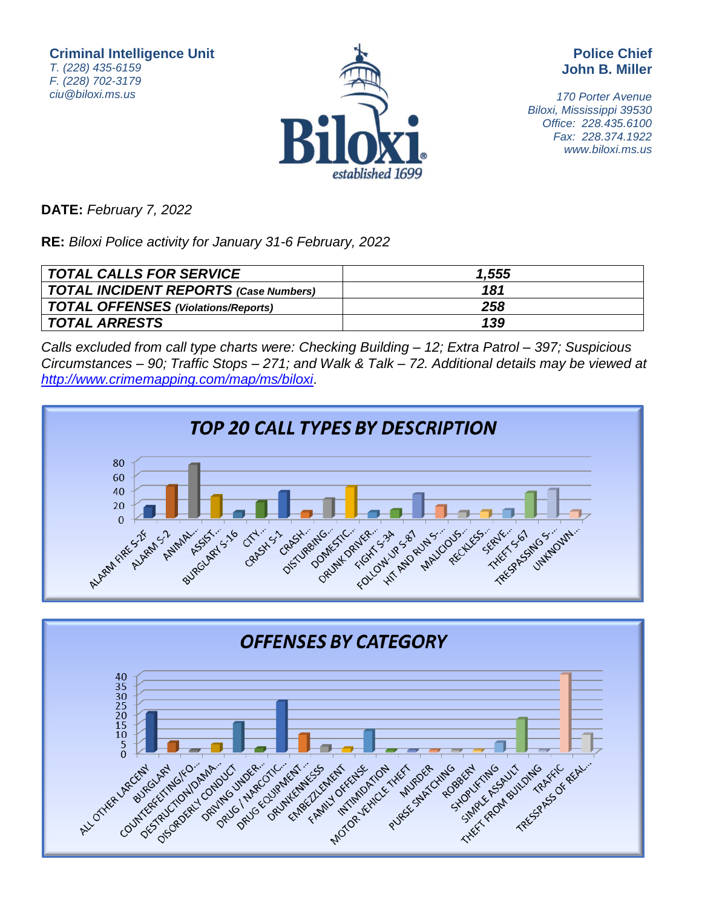**Criminal Intelligence Unit** T. (228) 435-6159 F. (228) 702-3179 ciu@biloxi.ms.us



**Police Chief John B. Miller**

170 Porter Avenue Biloxi, Mississippi 39530 Office: 228.435.6100 Fax: 228.374.1922 www.biloxi.ms.us

**DATE:** February 7, 2022

**RE:** Biloxi Police activity for January 31-6 February, 2022

| <b>TOTAL CALLS FOR SERVICE</b>               | 1,555 |
|----------------------------------------------|-------|
| <b>TOTAL INCIDENT REPORTS (Case Numbers)</b> | 181   |
| TOTAL OFFENSES (Violations/Reports)          | 258   |
| <b>TOTAL ARRESTS</b>                         | 139   |

Calls excluded from call type charts were: Checking Building – 12; Extra Patrol – 397; Suspicious Circumstances – 90; Traffic Stops – 271; and Walk & Talk – 72. Additional details may be viewed at <http://www.crimemapping.com/map/ms/biloxi>.